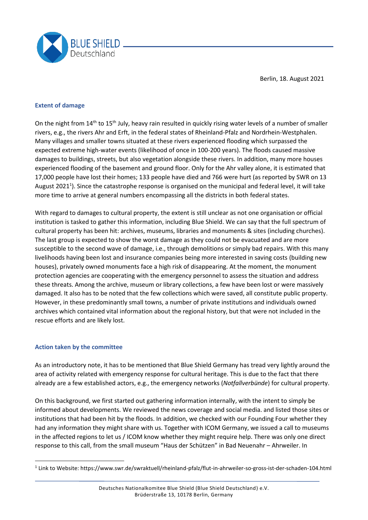

Berlin, 18. August 2021

## **Extent of damage**

On the night from 14<sup>th</sup> to 15<sup>th</sup> July, heavy rain resulted in quickly rising water levels of a number of smaller rivers, e.g., the rivers Ahr and Erft, in the federal states of Rheinland-Pfalz and Nordrhein-Westphalen. Many villages and smaller towns situated at these rivers experienced flooding which surpassed the expected extreme high-water events (likelihood of once in 100-200 years). The floods caused massive damages to buildings, streets, but also vegetation alongside these rivers. In addition, many more houses experienced flooding of the basement and ground floor. Only for the Ahr valley alone, it is estimated that 17,000 people have lost their homes; 133 people have died and 766 were hurt (as reported by SWR on 13 August 2021<sup>1</sup>). Since the catastrophe response is organised on the municipal and federal level, it will take more time to arrive at general numbers encompassing all the districts in both federal states.

With regard to damages to cultural property, the extent is still unclear as not one organisation or official institution is tasked to gather this information, including Blue Shield. We can say that the full spectrum of cultural property has been hit: archives, museums, libraries and monuments & sites (including churches). The last group is expected to show the worst damage as they could not be evacuated and are more susceptible to the second wave of damage, i.e., through demolitions or simply bad repairs. With this many livelihoods having been lost and insurance companies being more interested in saving costs (building new houses), privately owned monuments face a high risk of disappearing. At the moment, the monument protection agencies are cooperating with the emergency personnel to assess the situation and address these threats. Among the archive, museum or library collections, a few have been lost or were massively damaged. It also has to be noted that the few collections which were saved, all constitute public property. However, in these predominantly small towns, a number of private institutions and individuals owned archives which contained vital information about the regional history, but that were not included in the rescue efforts and are likely lost.

## **Action taken by the committee**

As an introductory note, it has to be mentioned that Blue Shield Germany has tread very lightly around the area of activity related with emergency response for cultural heritage. This is due to the fact that there already are a few established actors, e.g., the emergency networks (*Notfallverbünde*) for cultural property.

On this background, we first started out gathering information internally, with the intent to simply be informed about developments. We reviewed the news coverage and social media. and listed those sites or institutions that had been hit by the floods. In addition, we checked with our Founding Four whether they had any information they might share with us. Together with ICOM Germany, we issued a call to museums in the affected regions to let us / ICOM know whether they might require help. There was only one direct response to this call, from the small museum "Haus der Schützen" in Bad Neuenahr – Ahrweiler. In

<sup>&</sup>lt;sup>1</sup> Link to Website: https://www.swr.de/swraktuell/rheinland-pfalz/flut-in-ahrweiler-so-gross-ist-der-schaden-104.html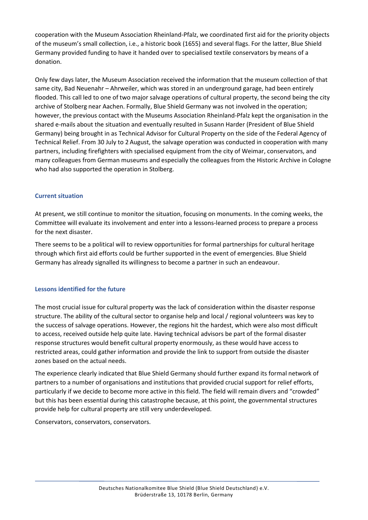cooperation with the Museum Association Rheinland-Pfalz, we coordinated first aid for the priority objects of the museum's small collection, i.e., a historic book (1655) and several flags. For the latter, Blue Shield Germany provided funding to have it handed over to specialised textile conservators by means of a donation.

Only few days later, the Museum Association received the information that the museum collection of that same city, Bad Neuenahr – Ahrweiler, which was stored in an underground garage, had been entirely flooded. This call led to one of two major salvage operations of cultural property, the second being the city archive of Stolberg near Aachen. Formally, Blue Shield Germany was not involved in the operation; however, the previous contact with the Museums Association Rheinland-Pfalz kept the organisation in the shared e-mails about the situation and eventually resulted in Susann Harder (President of Blue Shield Germany) being brought in as Technical Advisor for Cultural Property on the side of the Federal Agency of Technical Relief. From 30 July to 2 August, the salvage operation was conducted in cooperation with many partners, including firefighters with specialised equipment from the city of Weimar, conservators, and many colleagues from German museums and especially the colleagues from the Historic Archive in Cologne who had also supported the operation in Stolberg.

## **Current situation**

At present, we still continue to monitor the situation, focusing on monuments. In the coming weeks, the Committee will evaluate its involvement and enter into a lessons-learned process to prepare a process for the next disaster.

There seems to be a political will to review opportunities for formal partnerships for cultural heritage through which first aid efforts could be further supported in the event of emergencies. Blue Shield Germany has already signalled its willingness to become a partner in such an endeavour.

## **Lessons identified for the future**

The most crucial issue for cultural property was the lack of consideration within the disaster response structure. The ability of the cultural sector to organise help and local / regional volunteers was key to the success of salvage operations. However, the regions hit the hardest, which were also most difficult to access, received outside help quite late. Having technical advisors be part of the formal disaster response structures would benefit cultural property enormously, as these would have access to restricted areas, could gather information and provide the link to support from outside the disaster zones based on the actual needs.

The experience clearly indicated that Blue Shield Germany should further expand its formal network of partners to a number of organisations and institutions that provided crucial support for relief efforts, particularly if we decide to become more active in this field. The field will remain divers and "crowded" but this has been essential during this catastrophe because, at this point, the governmental structures provide help for cultural property are still very underdeveloped.

Conservators, conservators, conservators.